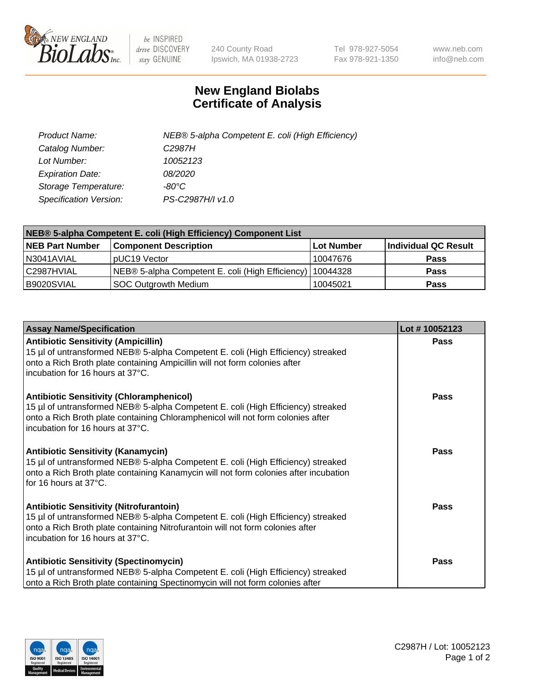

 $be$  INSPIRED drive DISCOVERY stay GENUINE

240 County Road Ipswich, MA 01938-2723 Tel 978-927-5054 Fax 978-921-1350 www.neb.com info@neb.com

## **New England Biolabs Certificate of Analysis**

| Product Name:           | NEB® 5-alpha Competent E. coli (High Efficiency) |
|-------------------------|--------------------------------------------------|
| Catalog Number:         | C <sub>2987</sub> H                              |
| Lot Number:             | 10052123                                         |
| <b>Expiration Date:</b> | <i>08/2020</i>                                   |
| Storage Temperature:    | -80°C                                            |
| Specification Version:  | PS-C2987H/I v1.0                                 |

| NEB® 5-alpha Competent E. coli (High Efficiency) Component List |                                                             |            |                      |  |
|-----------------------------------------------------------------|-------------------------------------------------------------|------------|----------------------|--|
| <b>NEB Part Number</b>                                          | <b>Component Description</b>                                | Lot Number | Individual QC Result |  |
| N3041AVIAL                                                      | pUC19 Vector                                                | 10047676   | Pass                 |  |
| C2987HVIAL                                                      | NEB® 5-alpha Competent E. coli (High Efficiency)   10044328 |            | Pass                 |  |
| B9020SVIAL                                                      | <b>SOC Outgrowth Medium</b>                                 | 10045021   | <b>Pass</b>          |  |

| <b>Assay Name/Specification</b>                                                                                                                                                                                                                            | Lot #10052123 |
|------------------------------------------------------------------------------------------------------------------------------------------------------------------------------------------------------------------------------------------------------------|---------------|
| <b>Antibiotic Sensitivity (Ampicillin)</b><br>15 µl of untransformed NEB® 5-alpha Competent E. coli (High Efficiency) streaked<br>onto a Rich Broth plate containing Ampicillin will not form colonies after<br>incubation for 16 hours at 37°C.           | <b>Pass</b>   |
| <b>Antibiotic Sensitivity (Chloramphenicol)</b><br>15 µl of untransformed NEB® 5-alpha Competent E. coli (High Efficiency) streaked<br>onto a Rich Broth plate containing Chloramphenicol will not form colonies after<br>incubation for 16 hours at 37°C. | Pass          |
| <b>Antibiotic Sensitivity (Kanamycin)</b><br>15 µl of untransformed NEB® 5-alpha Competent E. coli (High Efficiency) streaked<br>onto a Rich Broth plate containing Kanamycin will not form colonies after incubation<br>for 16 hours at $37^{\circ}$ C.   | Pass          |
| <b>Antibiotic Sensitivity (Nitrofurantoin)</b><br>15 µl of untransformed NEB® 5-alpha Competent E. coli (High Efficiency) streaked<br>onto a Rich Broth plate containing Nitrofurantoin will not form colonies after<br>incubation for 16 hours at 37°C.   | <b>Pass</b>   |
| <b>Antibiotic Sensitivity (Spectinomycin)</b><br>15 µl of untransformed NEB® 5-alpha Competent E. coli (High Efficiency) streaked<br>onto a Rich Broth plate containing Spectinomycin will not form colonies after                                         | Pass          |